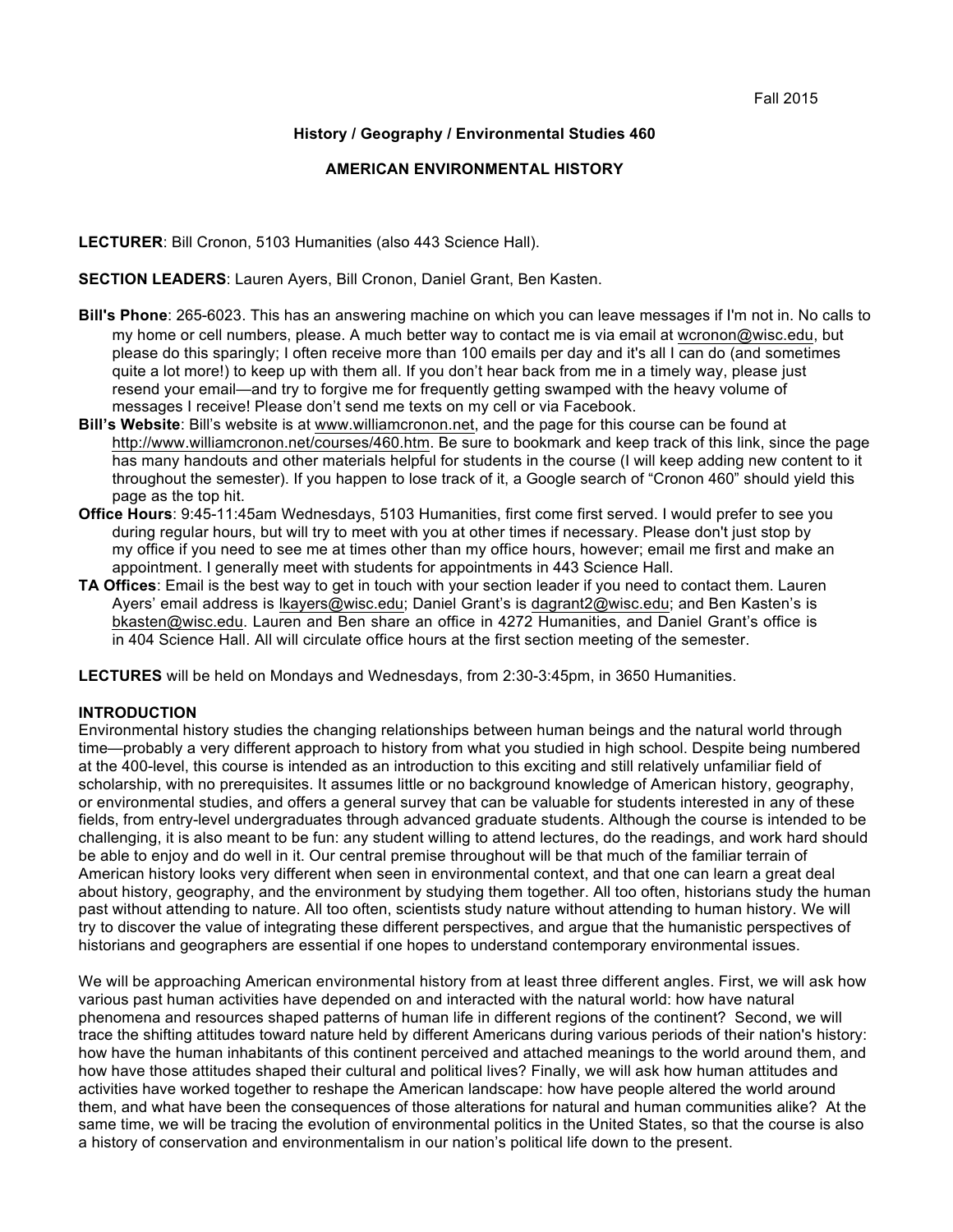#### **History / Geography / Environmental Studies 460**

#### **AMERICAN ENVIRONMENTAL HISTORY**

**LECTURER**: Bill Cronon, 5103 Humanities (also 443 Science Hall).

**SECTION LEADERS**: Lauren Ayers, Bill Cronon, Daniel Grant, Ben Kasten.

- **Bill's Phone**: 265-6023. This has an answering machine on which you can leave messages if I'm not in. No calls to my home or cell numbers, please. A much better way to contact me is via email at wcronon@wisc.edu, but please do this sparingly; I often receive more than 100 emails per day and it's all I can do (and sometimes quite a lot more!) to keep up with them all. If you don't hear back from me in a timely way, please just resend your email—and try to forgive me for frequently getting swamped with the heavy volume of messages I receive! Please don't send me texts on my cell or via Facebook.
- **Bill's Website**: Bill's website is at www.williamcronon.net, and the page for this course can be found at http://www.williamcronon.net/courses/460.htm. Be sure to bookmark and keep track of this link, since the page has many handouts and other materials helpful for students in the course (I will keep adding new content to it throughout the semester). If you happen to lose track of it, a Google search of "Cronon 460" should yield this page as the top hit.
- **Office Hours**: 9:45-11:45am Wednesdays, 5103 Humanities, first come first served. I would prefer to see you during regular hours, but will try to meet with you at other times if necessary. Please don't just stop by my office if you need to see me at times other than my office hours, however; email me first and make an appointment. I generally meet with students for appointments in 443 Science Hall.
- **TA Offices**: Email is the best way to get in touch with your section leader if you need to contact them. Lauren Ayers' email address is lkayers@wisc.edu; Daniel Grant's is dagrant2@wisc.edu; and Ben Kasten's is bkasten@wisc.edu. Lauren and Ben share an office in 4272 Humanities, and Daniel Grant's office is in 404 Science Hall. All will circulate office hours at the first section meeting of the semester.

**LECTURES** will be held on Mondays and Wednesdays, from 2:30-3:45pm, in 3650 Humanities.

#### **INTRODUCTION**

Environmental history studies the changing relationships between human beings and the natural world through time—probably a very different approach to history from what you studied in high school. Despite being numbered at the 400-level, this course is intended as an introduction to this exciting and still relatively unfamiliar field of scholarship, with no prerequisites. It assumes little or no background knowledge of American history, geography, or environmental studies, and offers a general survey that can be valuable for students interested in any of these fields, from entry-level undergraduates through advanced graduate students. Although the course is intended to be challenging, it is also meant to be fun: any student willing to attend lectures, do the readings, and work hard should be able to enjoy and do well in it. Our central premise throughout will be that much of the familiar terrain of American history looks very different when seen in environmental context, and that one can learn a great deal about history, geography, and the environment by studying them together. All too often, historians study the human past without attending to nature. All too often, scientists study nature without attending to human history. We will try to discover the value of integrating these different perspectives, and argue that the humanistic perspectives of historians and geographers are essential if one hopes to understand contemporary environmental issues.

We will be approaching American environmental history from at least three different angles. First, we will ask how various past human activities have depended on and interacted with the natural world: how have natural phenomena and resources shaped patterns of human life in different regions of the continent? Second, we will trace the shifting attitudes toward nature held by different Americans during various periods of their nation's history: how have the human inhabitants of this continent perceived and attached meanings to the world around them, and how have those attitudes shaped their cultural and political lives? Finally, we will ask how human attitudes and activities have worked together to reshape the American landscape: how have people altered the world around them, and what have been the consequences of those alterations for natural and human communities alike? At the same time, we will be tracing the evolution of environmental politics in the United States, so that the course is also a history of conservation and environmentalism in our nation's political life down to the present.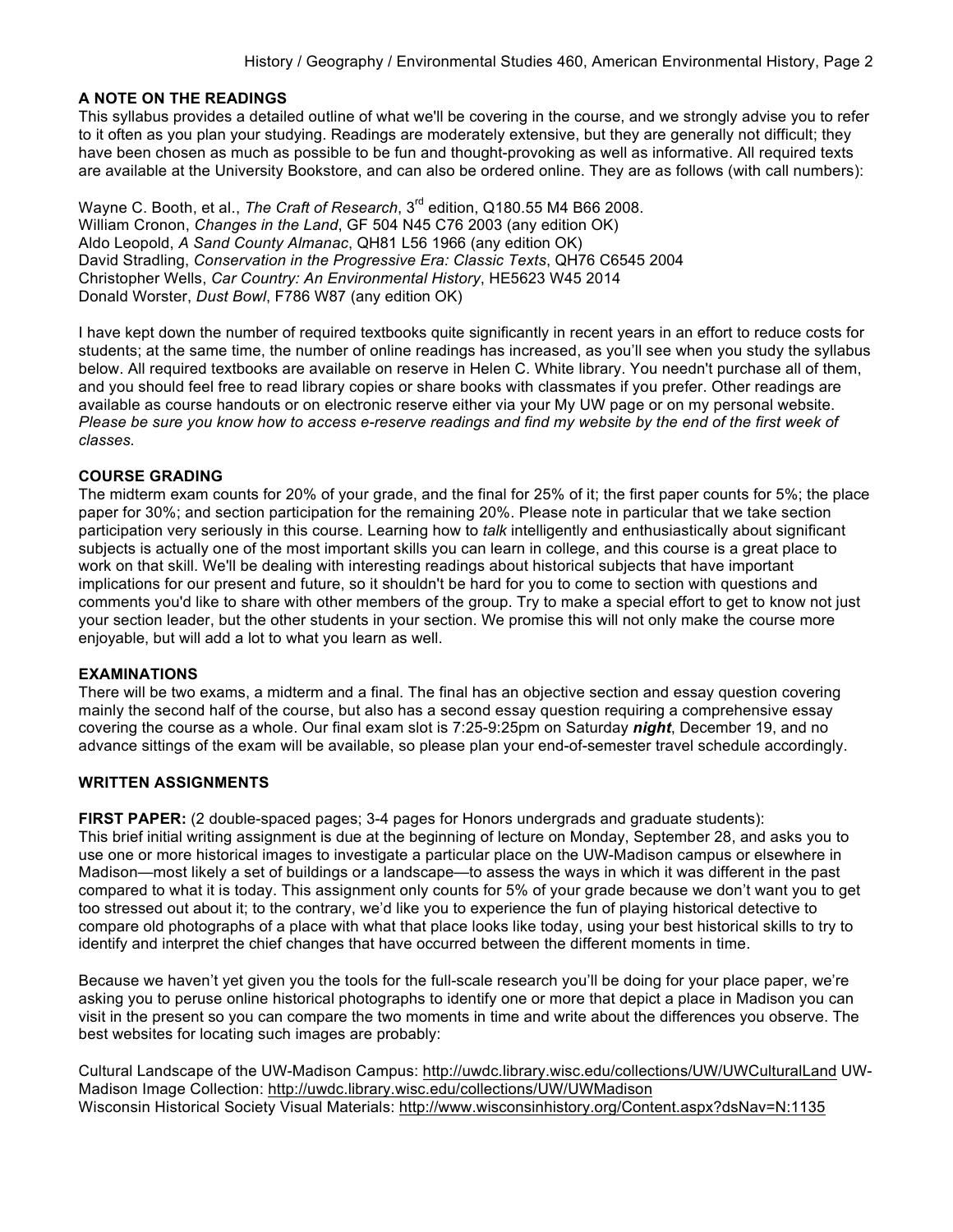#### **A NOTE ON THE READINGS**

This syllabus provides a detailed outline of what we'll be covering in the course, and we strongly advise you to refer to it often as you plan your studying. Readings are moderately extensive, but they are generally not difficult; they have been chosen as much as possible to be fun and thought-provoking as well as informative. All required texts are available at the University Bookstore, and can also be ordered online. They are as follows (with call numbers):

Wayne C. Booth, et al., *The Craft of Research*, 3rd edition, Q180.55 M4 B66 2008. William Cronon, *Changes in the Land*, GF 504 N45 C76 2003 (any edition OK) Aldo Leopold, *A Sand County Almanac*, QH81 L56 1966 (any edition OK) David Stradling, *Conservation in the Progressive Era: Classic Texts*, QH76 C6545 2004 Christopher Wells, *Car Country: An Environmental History*, HE5623 W45 2014 Donald Worster, *Dust Bowl*, F786 W87 (any edition OK)

I have kept down the number of required textbooks quite significantly in recent years in an effort to reduce costs for students; at the same time, the number of online readings has increased, as you'll see when you study the syllabus below. All required textbooks are available on reserve in Helen C. White library. You needn't purchase all of them, and you should feel free to read library copies or share books with classmates if you prefer. Other readings are available as course handouts or on electronic reserve either via your My UW page or on my personal website. Please be sure vou know how to access e-reserve readings and find my website by the end of the first week of *classes.*

#### **COURSE GRADING**

The midterm exam counts for 20% of your grade, and the final for 25% of it; the first paper counts for 5%; the place paper for 30%; and section participation for the remaining 20%. Please note in particular that we take section participation very seriously in this course. Learning how to *talk* intelligently and enthusiastically about significant subjects is actually one of the most important skills you can learn in college, and this course is a great place to work on that skill. We'll be dealing with interesting readings about historical subjects that have important implications for our present and future, so it shouldn't be hard for you to come to section with questions and comments you'd like to share with other members of the group. Try to make a special effort to get to know not just your section leader, but the other students in your section. We promise this will not only make the course more enjoyable, but will add a lot to what you learn as well.

#### **EXAMINATIONS**

There will be two exams, a midterm and a final. The final has an objective section and essay question covering mainly the second half of the course, but also has a second essay question requiring a comprehensive essay covering the course as a whole. Our final exam slot is 7:25-9:25pm on Saturday *night*, December 19, and no advance sittings of the exam will be available, so please plan your end-of-semester travel schedule accordingly.

#### **WRITTEN ASSIGNMENTS**

**FIRST PAPER:** (2 double-spaced pages; 3-4 pages for Honors undergrads and graduate students): This brief initial writing assignment is due at the beginning of lecture on Monday, September 28, and asks you to use one or more historical images to investigate a particular place on the UW-Madison campus or elsewhere in Madison—most likely a set of buildings or a landscape—to assess the ways in which it was different in the past compared to what it is today. This assignment only counts for 5% of your grade because we don't want you to get too stressed out about it; to the contrary, we'd like you to experience the fun of playing historical detective to compare old photographs of a place with what that place looks like today, using your best historical skills to try to identify and interpret the chief changes that have occurred between the different moments in time.

Because we haven't yet given you the tools for the full-scale research you'll be doing for your place paper, we're asking you to peruse online historical photographs to identify one or more that depict a place in Madison you can visit in the present so you can compare the two moments in time and write about the differences you observe. The best websites for locating such images are probably:

Cultural Landscape of the UW-Madison Campus: http://uwdc.library.wisc.edu/collections/UW/UWCulturalLand UW-Madison Image Collection: http://uwdc.library.wisc.edu/collections/UW/UWMadison Wisconsin Historical Society Visual Materials: http://www.wisconsinhistory.org/Content.aspx?dsNav=N:1135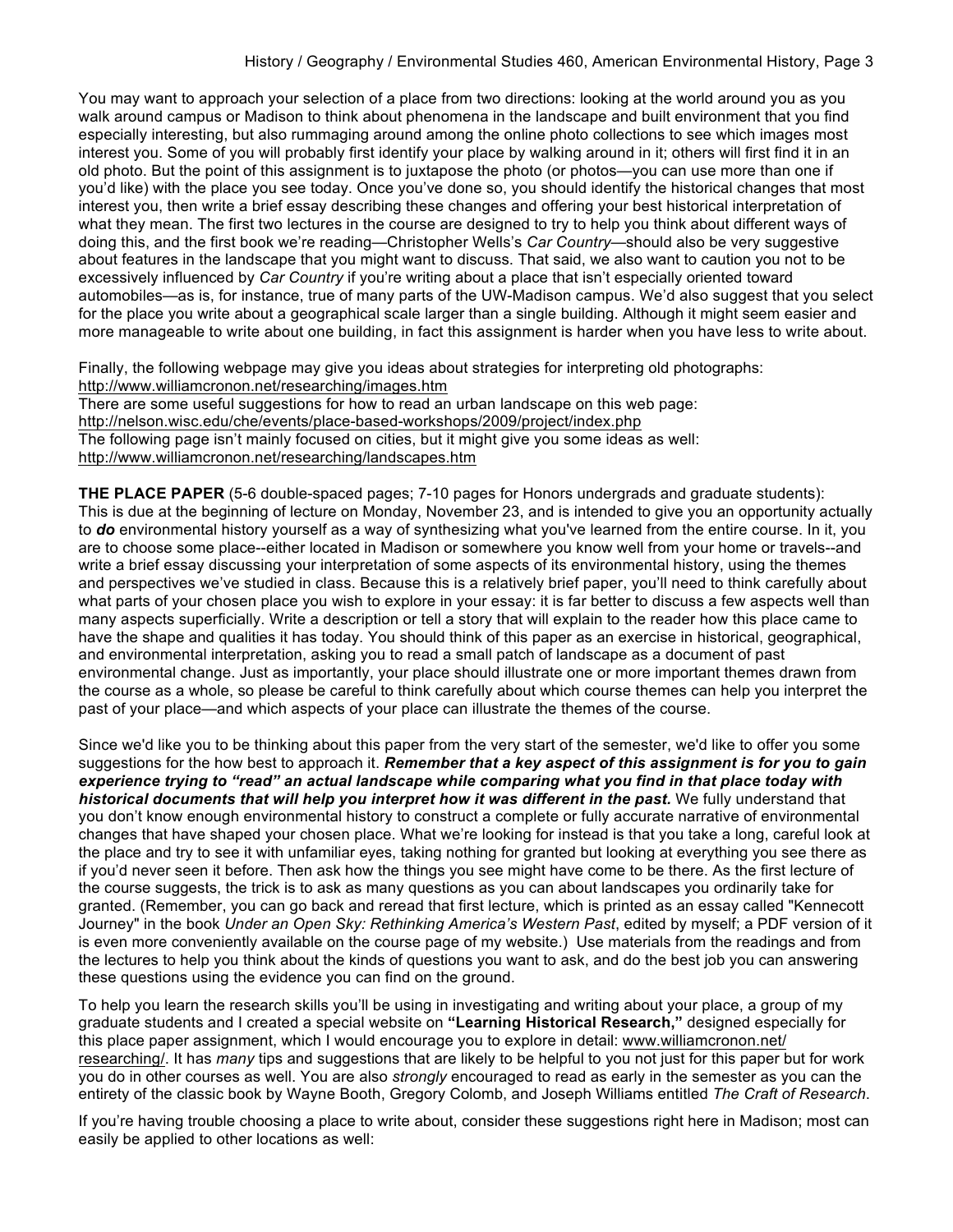You may want to approach your selection of a place from two directions: looking at the world around you as you walk around campus or Madison to think about phenomena in the landscape and built environment that you find especially interesting, but also rummaging around among the online photo collections to see which images most interest you. Some of you will probably first identify your place by walking around in it; others will first find it in an old photo. But the point of this assignment is to juxtapose the photo (or photos—you can use more than one if you'd like) with the place you see today. Once you've done so, you should identify the historical changes that most interest you, then write a brief essay describing these changes and offering your best historical interpretation of what they mean. The first two lectures in the course are designed to try to help you think about different ways of doing this, and the first book we're reading—Christopher Wells's *Car Country*—should also be very suggestive about features in the landscape that you might want to discuss. That said, we also want to caution you not to be excessively influenced by *Car Country* if you're writing about a place that isn't especially oriented toward automobiles—as is, for instance, true of many parts of the UW-Madison campus. We'd also suggest that you select for the place you write about a geographical scale larger than a single building. Although it might seem easier and more manageable to write about one building, in fact this assignment is harder when you have less to write about.

Finally, the following webpage may give you ideas about strategies for interpreting old photographs: http://www.williamcronon.net/researching/images.htm

There are some useful suggestions for how to read an urban landscape on this web page: http://nelson.wisc.edu/che/events/place-based-workshops/2009/project/index.php The following page isn't mainly focused on cities, but it might give you some ideas as well: http://www.williamcronon.net/researching/landscapes.htm

**THE PLACE PAPER** (5-6 double-spaced pages; 7-10 pages for Honors undergrads and graduate students): This is due at the beginning of lecture on Monday, November 23, and is intended to give you an opportunity actually to *do* environmental history yourself as a way of synthesizing what you've learned from the entire course. In it, you are to choose some place--either located in Madison or somewhere you know well from your home or travels--and write a brief essay discussing your interpretation of some aspects of its environmental history, using the themes and perspectives we've studied in class. Because this is a relatively brief paper, you'll need to think carefully about what parts of your chosen place you wish to explore in your essay: it is far better to discuss a few aspects well than many aspects superficially. Write a description or tell a story that will explain to the reader how this place came to have the shape and qualities it has today. You should think of this paper as an exercise in historical, geographical, and environmental interpretation, asking you to read a small patch of landscape as a document of past environmental change. Just as importantly, your place should illustrate one or more important themes drawn from the course as a whole, so please be careful to think carefully about which course themes can help you interpret the past of your place—and which aspects of your place can illustrate the themes of the course.

Since we'd like you to be thinking about this paper from the very start of the semester, we'd like to offer you some suggestions for the how best to approach it. *Remember that a key aspect of this assignment is for you to gain experience trying to "read" an actual landscape while comparing what you find in that place today with historical documents that will help you interpret how it was different in the past.* We fully understand that you don't know enough environmental history to construct a complete or fully accurate narrative of environmental changes that have shaped your chosen place. What we're looking for instead is that you take a long, careful look at the place and try to see it with unfamiliar eyes, taking nothing for granted but looking at everything you see there as if you'd never seen it before. Then ask how the things you see might have come to be there. As the first lecture of the course suggests, the trick is to ask as many questions as you can about landscapes you ordinarily take for granted. (Remember, you can go back and reread that first lecture, which is printed as an essay called "Kennecott Journey" in the book *Under an Open Sky: Rethinking America's Western Past*, edited by myself; a PDF version of it is even more conveniently available on the course page of my website.) Use materials from the readings and from the lectures to help you think about the kinds of questions you want to ask, and do the best job you can answering these questions using the evidence you can find on the ground.

To help you learn the research skills you'll be using in investigating and writing about your place, a group of my graduate students and I created a special website on **"Learning Historical Research,"** designed especially for this place paper assignment, which I would encourage you to explore in detail: www.williamcronon.net/ researching/. It has *many* tips and suggestions that are likely to be helpful to you not just for this paper but for work you do in other courses as well. You are also *strongly* encouraged to read as early in the semester as you can the entirety of the classic book by Wayne Booth, Gregory Colomb, and Joseph Williams entitled *The Craft of Research*.

If you're having trouble choosing a place to write about, consider these suggestions right here in Madison; most can easily be applied to other locations as well: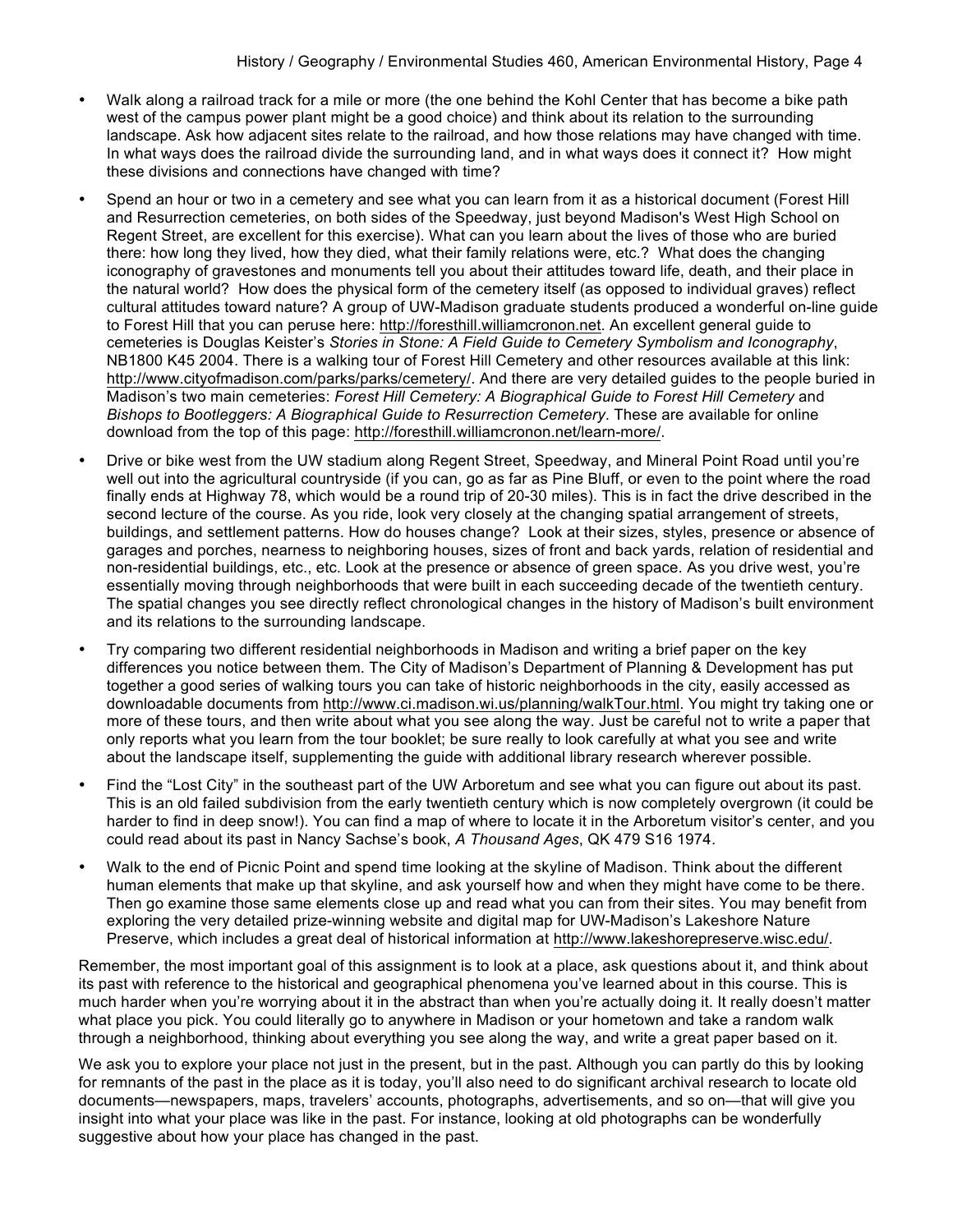- Walk along a railroad track for a mile or more (the one behind the Kohl Center that has become a bike path west of the campus power plant might be a good choice) and think about its relation to the surrounding landscape. Ask how adjacent sites relate to the railroad, and how those relations may have changed with time. In what ways does the railroad divide the surrounding land, and in what ways does it connect it? How might these divisions and connections have changed with time?
- Spend an hour or two in a cemetery and see what you can learn from it as a historical document (Forest Hill and Resurrection cemeteries, on both sides of the Speedway, just beyond Madison's West High School on Regent Street, are excellent for this exercise). What can you learn about the lives of those who are buried there: how long they lived, how they died, what their family relations were, etc.? What does the changing iconography of gravestones and monuments tell you about their attitudes toward life, death, and their place in the natural world? How does the physical form of the cemetery itself (as opposed to individual graves) reflect cultural attitudes toward nature? A group of UW-Madison graduate students produced a wonderful on-line guide to Forest Hill that you can peruse here: http://foresthill.williamcronon.net. An excellent general guide to cemeteries is Douglas Keister's *Stories in Stone: A Field Guide to Cemetery Symbolism and Iconography*, NB1800 K45 2004. There is a walking tour of Forest Hill Cemetery and other resources available at this link: http://www.cityofmadison.com/parks/parks/cemetery/. And there are very detailed guides to the people buried in Madison's two main cemeteries: *Forest Hill Cemetery: A Biographical Guide to Forest Hill Cemetery* and *Bishops to Bootleggers: A Biographical Guide to Resurrection Cemetery*. These are available for online download from the top of this page: http://foresthill.williamcronon.net/learn-more/.
- Drive or bike west from the UW stadium along Regent Street, Speedway, and Mineral Point Road until you're well out into the agricultural countryside (if you can, go as far as Pine Bluff, or even to the point where the road finally ends at Highway 78, which would be a round trip of 20-30 miles). This is in fact the drive described in the second lecture of the course. As you ride, look very closely at the changing spatial arrangement of streets, buildings, and settlement patterns. How do houses change? Look at their sizes, styles, presence or absence of garages and porches, nearness to neighboring houses, sizes of front and back yards, relation of residential and non-residential buildings, etc., etc. Look at the presence or absence of green space. As you drive west, you're essentially moving through neighborhoods that were built in each succeeding decade of the twentieth century. The spatial changes you see directly reflect chronological changes in the history of Madison's built environment and its relations to the surrounding landscape.
- Try comparing two different residential neighborhoods in Madison and writing a brief paper on the key differences you notice between them. The City of Madison's Department of Planning & Development has put together a good series of walking tours you can take of historic neighborhoods in the city, easily accessed as downloadable documents from http://www.ci.madison.wi.us/planning/walkTour.html. You might try taking one or more of these tours, and then write about what you see along the way. Just be careful not to write a paper that only reports what you learn from the tour booklet; be sure really to look carefully at what you see and write about the landscape itself, supplementing the guide with additional library research wherever possible.
- Find the "Lost City" in the southeast part of the UW Arboretum and see what you can figure out about its past. This is an old failed subdivision from the early twentieth century which is now completely overgrown (it could be harder to find in deep snow!). You can find a map of where to locate it in the Arboretum visitor's center, and you could read about its past in Nancy Sachse's book, *A Thousand Ages*, QK 479 S16 1974.
- Walk to the end of Picnic Point and spend time looking at the skyline of Madison. Think about the different human elements that make up that skyline, and ask yourself how and when they might have come to be there. Then go examine those same elements close up and read what you can from their sites. You may benefit from exploring the very detailed prize-winning website and digital map for UW-Madison's Lakeshore Nature Preserve, which includes a great deal of historical information at http://www.lakeshorepreserve.wisc.edu/.

Remember, the most important goal of this assignment is to look at a place, ask questions about it, and think about its past with reference to the historical and geographical phenomena you've learned about in this course. This is much harder when you're worrying about it in the abstract than when you're actually doing it. It really doesn't matter what place you pick. You could literally go to anywhere in Madison or your hometown and take a random walk through a neighborhood, thinking about everything you see along the way, and write a great paper based on it.

We ask you to explore your place not just in the present, but in the past. Although you can partly do this by looking for remnants of the past in the place as it is today, you'll also need to do significant archival research to locate old documents—newspapers, maps, travelers' accounts, photographs, advertisements, and so on—that will give you insight into what your place was like in the past. For instance, looking at old photographs can be wonderfully suggestive about how your place has changed in the past.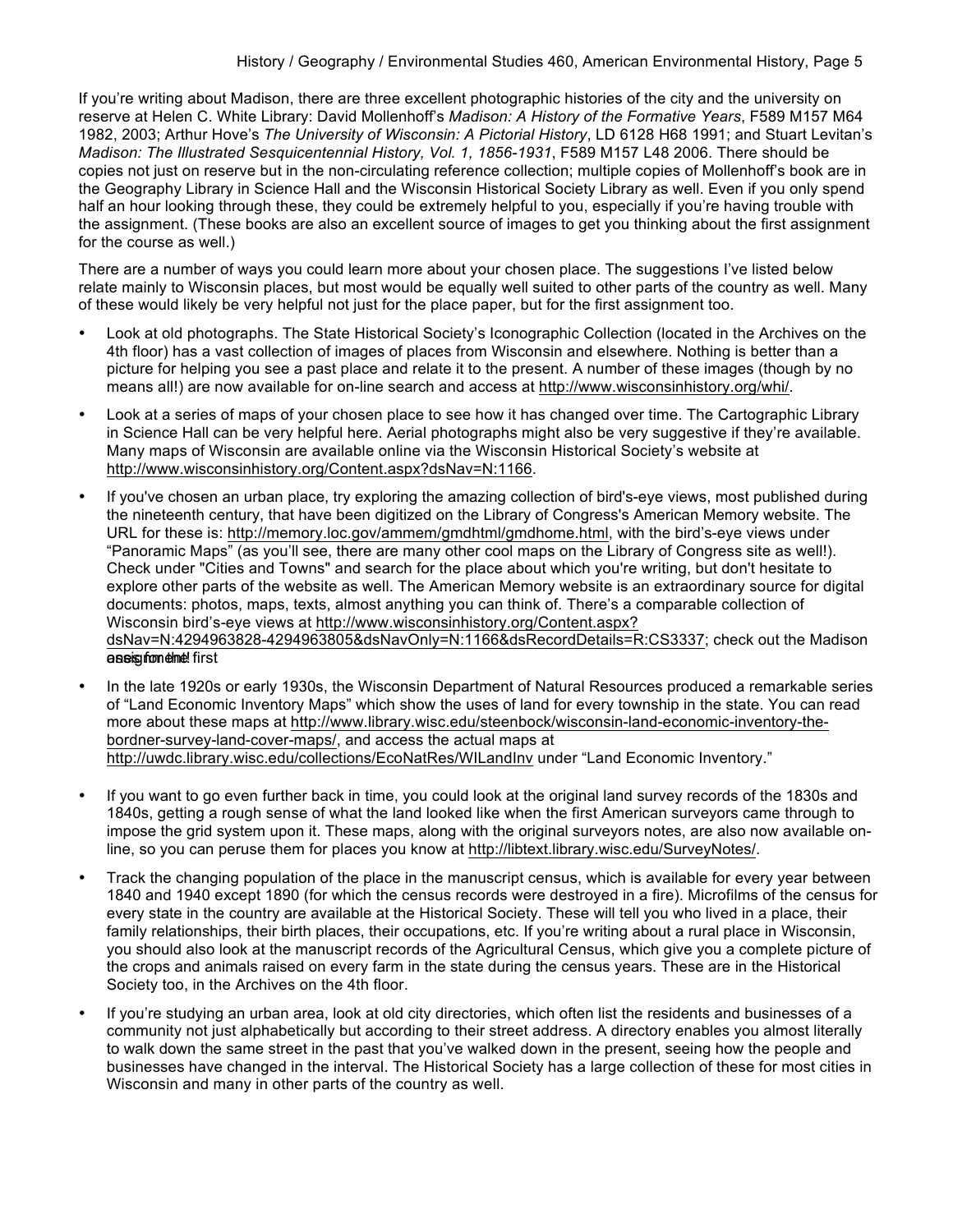If you're writing about Madison, there are three excellent photographic histories of the city and the university on reserve at Helen C. White Library: David Mollenhoff's *Madison: A History of the Formative Years*, F589 M157 M64 1982, 2003; Arthur Hove's *The University of Wisconsin: A Pictorial History*, LD 6128 H68 1991; and Stuart Levitan's *Madison: The Illustrated Sesquicentennial History, Vol. 1, 1856-1931*, F589 M157 L48 2006. There should be copies not just on reserve but in the non-circulating reference collection; multiple copies of Mollenhoff's book are in the Geography Library in Science Hall and the Wisconsin Historical Society Library as well. Even if you only spend half an hour looking through these, they could be extremely helpful to you, especially if you're having trouble with the assignment. (These books are also an excellent source of images to get you thinking about the first assignment for the course as well.)

There are a number of ways you could learn more about your chosen place. The suggestions I've listed below relate mainly to Wisconsin places, but most would be equally well suited to other parts of the country as well. Many of these would likely be very helpful not just for the place paper, but for the first assignment too.

- Look at old photographs. The State Historical Society's Iconographic Collection (located in the Archives on the 4th floor) has a vast collection of images of places from Wisconsin and elsewhere. Nothing is better than a picture for helping you see a past place and relate it to the present. A number of these images (though by no means all!) are now available for on-line search and access at http://www.wisconsinhistory.org/whi/.
- Look at a series of maps of your chosen place to see how it has changed over time. The Cartographic Library in Science Hall can be very helpful here. Aerial photographs might also be very suggestive if they're available. Many maps of Wisconsin are available online via the Wisconsin Historical Society's website at http://www.wisconsinhistory.org/Content.aspx?dsNav=N:1166.
- If you've chosen an urban place, try exploring the amazing collection of bird's-eye views, most published during the nineteenth century, that have been digitized on the Library of Congress's American Memory website. The URL for these is: http://memory.loc.gov/ammem/gmdhtml/gmdhome.html, with the bird's-eye views under "Panoramic Maps" (as you'll see, there are many other cool maps on the Library of Congress site as well!). Check under "Cities and Towns" and search for the place about which you're writing, but don't hesitate to explore other parts of the website as well. The American Memory website is an extraordinary source for digital documents: photos, maps, texts, almost anything you can think of. There's a comparable collection of Wisconsin bird's-eye views at http://www.wisconsinhistory.org/Content.aspx? dsNav=N:4294963828-4294963805&dsNavOnly=N:1166&dsRecordDetails=R:CS3337; check out the Madison oas is not the first
- In the late 1920s or early 1930s, the Wisconsin Department of Natural Resources produced a remarkable series of "Land Economic Inventory Maps" which show the uses of land for every township in the state. You can read more about these maps at http://www.library.wisc.edu/steenbock/wisconsin-land-economic-inventory-thebordner-survey-land-cover-maps/, and access the actual maps at http://uwdc.library.wisc.edu/collections/EcoNatRes/WILandInv under "Land Economic Inventory."
- If you want to go even further back in time, you could look at the original land survey records of the 1830s and 1840s, getting a rough sense of what the land looked like when the first American surveyors came through to impose the grid system upon it. These maps, along with the original surveyors notes, are also now available online, so you can peruse them for places you know at http://libtext.library.wisc.edu/SurveyNotes/.
- Track the changing population of the place in the manuscript census, which is available for every year between 1840 and 1940 except 1890 (for which the census records were destroyed in a fire). Microfilms of the census for every state in the country are available at the Historical Society. These will tell you who lived in a place, their family relationships, their birth places, their occupations, etc. If you're writing about a rural place in Wisconsin, you should also look at the manuscript records of the Agricultural Census, which give you a complete picture of the crops and animals raised on every farm in the state during the census years. These are in the Historical Society too, in the Archives on the 4th floor.
- If you're studying an urban area, look at old city directories, which often list the residents and businesses of a community not just alphabetically but according to their street address. A directory enables you almost literally to walk down the same street in the past that you've walked down in the present, seeing how the people and businesses have changed in the interval. The Historical Society has a large collection of these for most cities in Wisconsin and many in other parts of the country as well.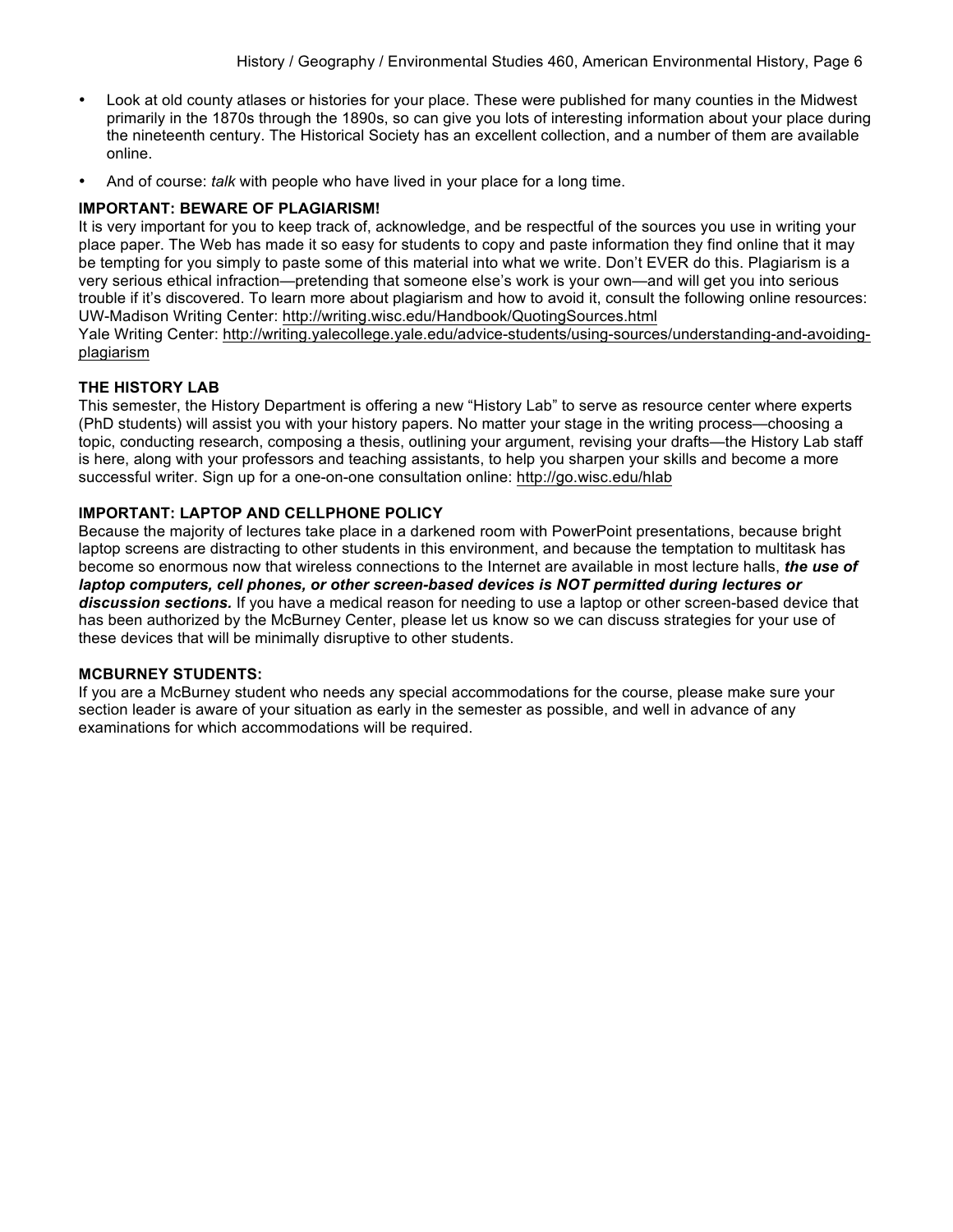- Look at old county atlases or histories for your place. These were published for many counties in the Midwest primarily in the 1870s through the 1890s, so can give you lots of interesting information about your place during the nineteenth century. The Historical Society has an excellent collection, and a number of them are available online.
- And of course: *talk* with people who have lived in your place for a long time.

## **IMPORTANT: BEWARE OF PLAGIARISM!**

It is very important for you to keep track of, acknowledge, and be respectful of the sources you use in writing your place paper. The Web has made it so easy for students to copy and paste information they find online that it may be tempting for you simply to paste some of this material into what we write. Don't EVER do this. Plagiarism is a very serious ethical infraction—pretending that someone else's work is your own—and will get you into serious trouble if it's discovered. To learn more about plagiarism and how to avoid it, consult the following online resources: UW-Madison Writing Center: http://writing.wisc.edu/Handbook/QuotingSources.html Yale Writing Center: http://writing.yalecollege.yale.edu/advice-students/using-sources/understanding-and-avoidingplagiarism

### **THE HISTORY LAB**

This semester, the History Department is offering a new "History Lab" to serve as resource center where experts (PhD students) will assist you with your history papers. No matter your stage in the writing process—choosing a topic, conducting research, composing a thesis, outlining your argument, revising your drafts—the History Lab staff is here, along with your professors and teaching assistants, to help you sharpen your skills and become a more successful writer. Sign up for a one-on-one consultation online: http://go.wisc.edu/hlab

## **IMPORTANT: LAPTOP AND CELLPHONE POLICY**

Because the majority of lectures take place in a darkened room with PowerPoint presentations, because bright laptop screens are distracting to other students in this environment, and because the temptation to multitask has become so enormous now that wireless connections to the Internet are available in most lecture halls, *the use of laptop computers, cell phones, or other screen-based devices is NOT permitted during lectures or discussion sections.* If you have a medical reason for needing to use a laptop or other screen-based device that has been authorized by the McBurney Center, please let us know so we can discuss strategies for your use of these devices that will be minimally disruptive to other students.

### **MCBURNEY STUDENTS:**

If you are a McBurney student who needs any special accommodations for the course, please make sure your section leader is aware of your situation as early in the semester as possible, and well in advance of any examinations for which accommodations will be required.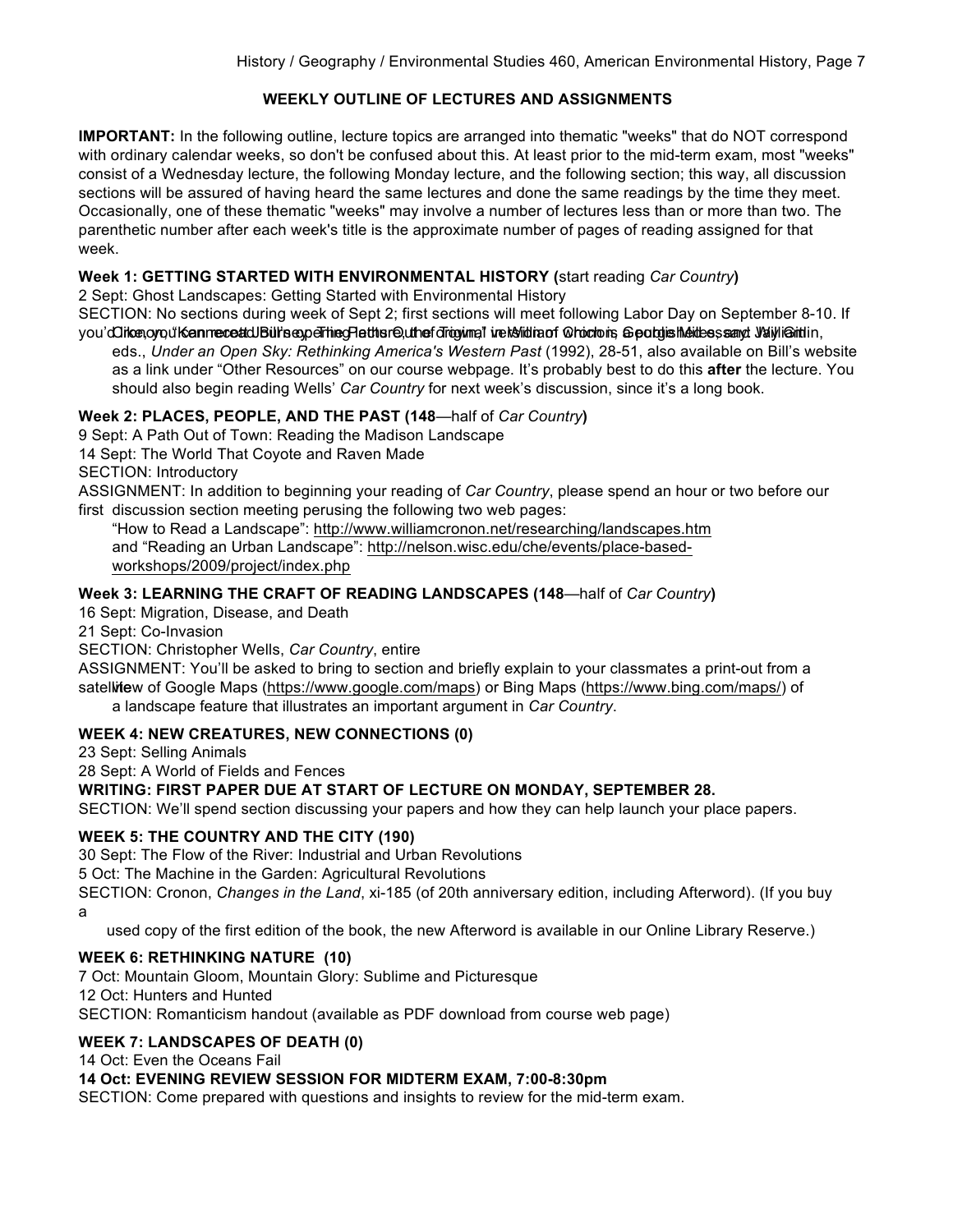## **WEEKLY OUTLINE OF LECTURES AND ASSIGNMENTS**

**IMPORTANT:** In the following outline, lecture topics are arranged into thematic "weeks" that do NOT correspond with ordinary calendar weeks, so don't be confused about this. At least prior to the mid-term exam, most "weeks" consist of a Wednesday lecture, the following Monday lecture, and the following section; this way, all discussion sections will be assured of having heard the same lectures and done the same readings by the time they meet. Occasionally, one of these thematic "weeks" may involve a number of lectures less than or more than two. The parenthetic number after each week's title is the approximate number of pages of reading assigned for that week.

### **Week 1: GETTING STARTED WITH ENVIRONMENTAL HISTORY (**start reading *Car Country***)**

2 Sept: Ghost Landscapes: Getting Started with Environmental History

SECTION: No sections during week of Sept 2; first sections will meet following Labor Day on September 8-10. If you'dCiten, orgu't Kennec eat dDui's experting Hattis read the fortowing The Militar of Ortochons, Georgis Meithes, sangt William in,

eds., *Under an Open Sky: Rethinking America's Western Past* (1992), 28-51, also available on Bill's website as a link under "Other Resources" on our course webpage. It's probably best to do this **after** the lecture. You should also begin reading Wells' *Car Country* for next week's discussion, since it's a long book.

## **Week 2: PLACES, PEOPLE, AND THE PAST (148**—half of *Car Country***)**

9 Sept: A Path Out of Town: Reading the Madison Landscape

14 Sept: The World That Coyote and Raven Made

SECTION: Introductory

ASSIGNMENT: In addition to beginning your reading of *Car Country*, please spend an hour or two before our first discussion section meeting perusing the following two web pages:

"How to Read a Landscape": http://www.williamcronon.net/researching/landscapes.htm and "Reading an Urban Landscape": http://nelson.wisc.edu/che/events/place-basedworkshops/2009/project/index.php

## **Week 3: LEARNING THE CRAFT OF READING LANDSCAPES (148**—half of *Car Country***)**

16 Sept: Migration, Disease, and Death

21 Sept: Co-Invasion

SECTION: Christopher Wells, *Car Country*, entire

ASSIGNMENT: You'll be asked to bring to section and briefly explain to your classmates a print-out from a satellitew of Google Maps (https://www.google.com/maps) or Bing Maps (https://www.bing.com/maps/) of a landscape feature that illustrates an important argument in *Car Country*.

### **WEEK 4: NEW CREATURES, NEW CONNECTIONS (0)**

23 Sept: Selling Animals

28 Sept: A World of Fields and Fences

### **WRITING: FIRST PAPER DUE AT START OF LECTURE ON MONDAY, SEPTEMBER 28.**

SECTION: We'll spend section discussing your papers and how they can help launch your place papers.

### **WEEK 5: THE COUNTRY AND THE CITY (190)**

30 Sept: The Flow of the River: Industrial and Urban Revolutions

5 Oct: The Machine in the Garden: Agricultural Revolutions

SECTION: Cronon, *Changes in the Land*, xi-185 (of 20th anniversary edition, including Afterword). (If you buy a

used copy of the first edition of the book, the new Afterword is available in our Online Library Reserve.)

### **WEEK 6: RETHINKING NATURE (10)**

7 Oct: Mountain Gloom, Mountain Glory: Sublime and Picturesque 12 Oct: Hunters and Hunted SECTION: Romanticism handout (available as PDF download from course web page)

### **WEEK 7: LANDSCAPES OF DEATH (0)**

14 Oct: Even the Oceans Fail

### **14 Oct: EVENING REVIEW SESSION FOR MIDTERM EXAM, 7:00-8:30pm**

SECTION: Come prepared with questions and insights to review for the mid-term exam.